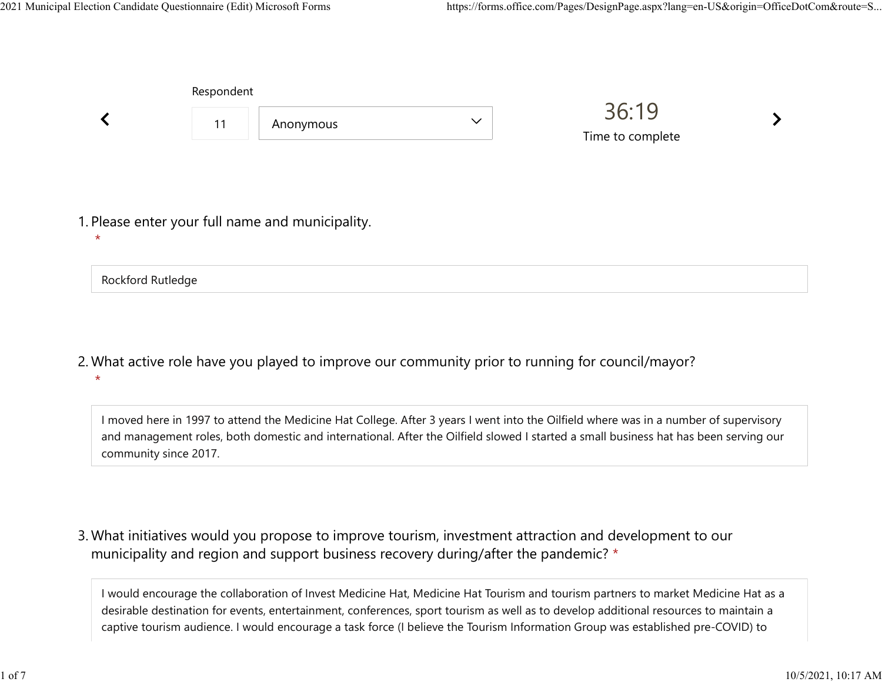Rockford Rutledge

|                                                             | Respondent |           |              |                           |  |
|-------------------------------------------------------------|------------|-----------|--------------|---------------------------|--|
|                                                             | 11         | Anonymous | $\checkmark$ | 36:19<br>Time to complete |  |
| 1. Please enter your full name and municipality.<br>$\star$ |            |           |              |                           |  |

What active role have you played to improve our community prior to running for council/mayor? 2.  $\star$ 

I moved here in 1997 to attend the Medicine Hat College. After 3 years I went into the Oilfield where was in a number of supervisory and management roles, both domestic and international. After the Oilfield slowed I started a small business hat has been serving our community since 2017.

What initiatives would you propose to improve tourism, investment attraction and development to our 3. municipality and region and support business recovery during/after the pandemic? \*

I would encourage the collaboration of Invest Medicine Hat, Medicine Hat Tourism and tourism partners to market Medicine Hat as a desirable destination for events, entertainment, conferences, sport tourism as well as to develop additional resources to maintain a captive tourism audience. I would encourage a task force (I believe the Tourism Information Group was established pre-COVID) to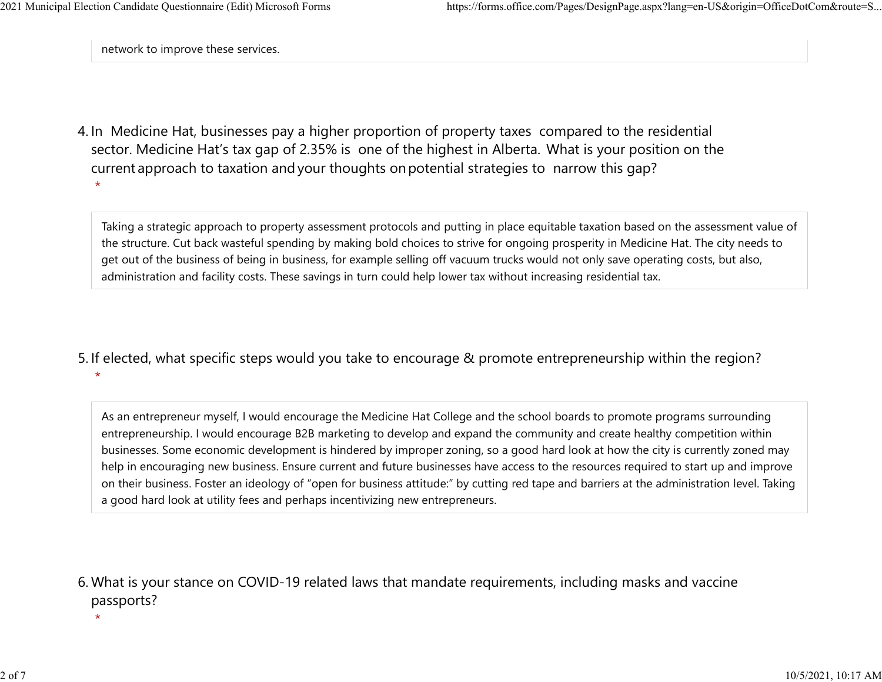network to improve these services.

4. In Medicine Hat, businesses pay a higher proportion of property taxes compared to the residential sector.  Medicine Hat's tax gap of 2.35% is one of the highest in Alberta.  What is your position on the current approach to taxation and your thoughts on potential strategies to narrow this gap?  $\star$ 

Taking a strategic approach to property assessment protocols and putting in place equitable taxation based on the assessment value of the structure. Cut back wasteful spending by making bold choices to strive for ongoing prosperity in Medicine Hat. The city needs to get out of the business of being in business, for example selling off vacuum trucks would not only save operating costs, but also, administration and facility costs. These savings in turn could help lower tax without increasing residential tax.

5. If elected, what specific steps would you take to encourage & promote entrepreneurship within the region?  $\star$ 

As an entrepreneur myself, I would encourage the Medicine Hat College and the school boards to promote programs surrounding entrepreneurship. I would encourage B2B marketing to develop and expand the community and create healthy competition within businesses. Some economic development is hindered by improper zoning, so a good hard look at how the city is currently zoned may help in encouraging new business. Ensure current and future businesses have access to the resources required to start up and improve on their business. Foster an ideology of "open for business attitude:" by cutting red tape and barriers at the administration level. Taking a good hard look at utility fees and perhaps incentivizing new entrepreneurs.

What is your stance on COVID-19 related laws that mandate requirements, including masks and vaccine 6. passports?

 $\star$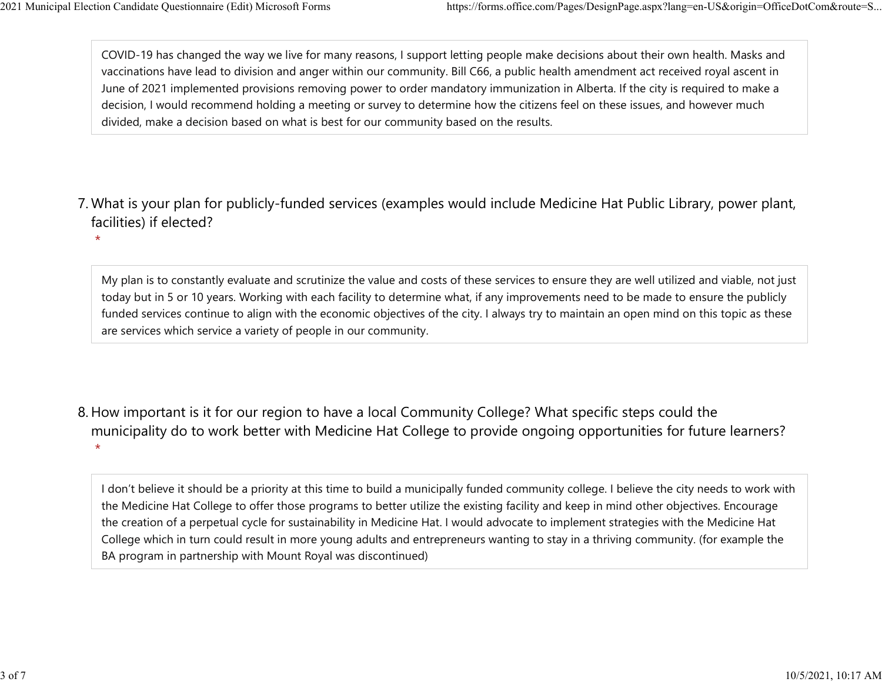$\star$ 

COVID-19 has changed the way we live for many reasons, I support letting people make decisions about their own health. Masks and vaccinations have lead to division and anger within our community. Bill C66, a public health amendment act received royal ascent in June of 2021 implemented provisions removing power to order mandatory immunization in Alberta. If the city is required to make a decision, I would recommend holding a meeting or survey to determine how the citizens feel on these issues, and however much divided, make a decision based on what is best for our community based on the results. 2021 Municipal Election Candidate Questionnaire (Edit) Microsoft Forms https://forms.office.com/Pages/DesignPage.aspx?lang=en-US&origin=OfficeDotCom&route=S...<br>COVID-19 has changed the way we live for many reasons, I suppo

What is your plan for publicly-funded services (examples would include Medicine Hat Public Library, power plant, 7. facilities) if elected?

My plan is to constantly evaluate and scrutinize the value and costs of these services to ensure they are well utilized and viable, not just today but in 5 or 10 years. Working with each facility to determine what, if any improvements need to be made to ensure the publicly funded services continue to align with the economic objectives of the city. I always try to maintain an open mind on this topic as these are services which service a variety of people in our community.

8. How important is it for our region to have a local Community College? What specific steps could the municipality do to work better with Medicine Hat College to provide ongoing opportunities for future learners?  $\star$ 

I don't believe it should be a priority at this time to build a municipally funded community college. I believe the city needs to work with the Medicine Hat College to offer those programs to better utilize the existing facility and keep in mind other objectives. Encourage the creation of a perpetual cycle for sustainability in Medicine Hat. I would advocate to implement strategies with the Medicine Hat College which in turn could result in more young adults and entrepreneurs wanting to stay in a thriving community. (for example the BA program in partnership with Mount Royal was discontinued)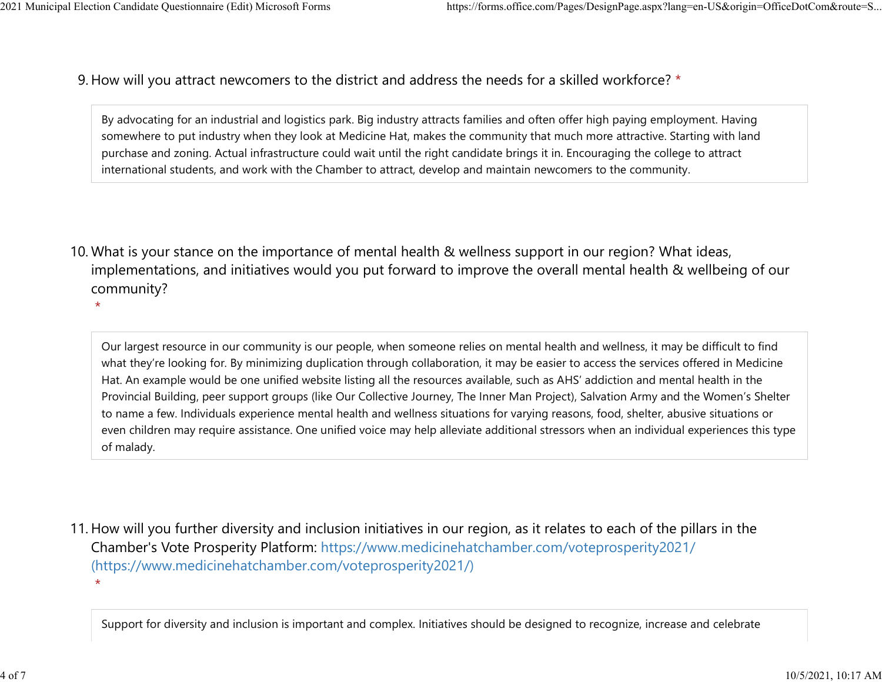9. How will you attract newcomers to the district and address the needs for a skilled workforce? \* 2021 Municipal Election Candidate Questionnaire (Edit) Microsoft Forms https://forms.office.com/Pages/DesignPage.aspx?lang=en-US&origin=OfficeDotCom&route=S...<br>Q How will you attract newcomers to the district and address t

> By advocating for an industrial and logistics park. Big industry attracts families and often offer high paying employment. Having somewhere to put industry when they look at Medicine Hat, makes the community that much more attractive. Starting with land purchase and zoning. Actual infrastructure could wait until the right candidate brings it in. Encouraging the college to attract international students, and work with the Chamber to attract, develop and maintain newcomers to the community.

10. What is your stance on the importance of mental health & wellness support in our region? What ideas, implementations, and initiatives would you put forward to improve the overall mental health & wellbeing of our community?

 $\star$ 

Our largest resource in our community is our people, when someone relies on mental health and wellness, it may be difficult to find what they're looking for. By minimizing duplication through collaboration, it may be easier to access the services offered in Medicine Hat. An example would be one unified website listing all the resources available, such as AHS' addiction and mental health in the Provincial Building, peer support groups (like Our Collective Journey, The Inner Man Project), Salvation Army and the Women's Shelter to name a few. Individuals experience mental health and wellness situations for varying reasons, food, shelter, abusive situations or even children may require assistance. One unified voice may help alleviate additional stressors when an individual experiences this type of malady.

11. How will you further diversity and inclusion initiatives in our region, as it relates to each of the pillars in the Chamber's Vote Prosperity Platform: https://www.medicinehatchamber.com/voteprosperity2021/ (https://www.medicinehatchamber.com/voteprosperity2021/)  $\star$ 

Support for diversity and inclusion is important and complex. Initiatives should be designed to recognize, increase and celebrate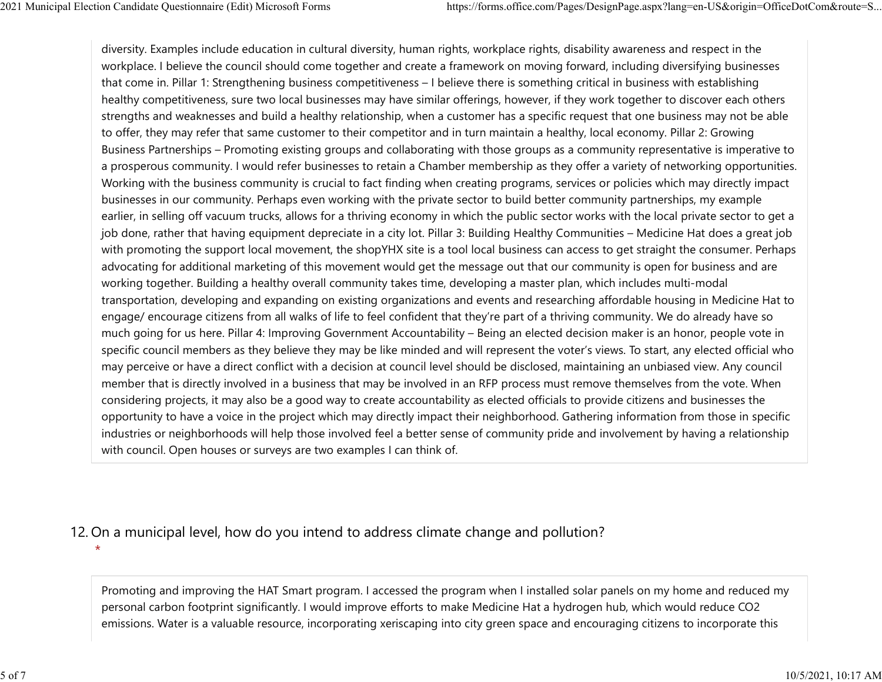diversity. Examples include education in cultural diversity, human rights, workplace rights, disability awareness and respect in the workplace. I believe the council should come together and create a framework on moving forward, including diversifying businesses that come in. Pillar 1: Strengthening business competitiveness – I believe there is something critical in business with establishing healthy competitiveness, sure two local businesses may have similar offerings, however, if they work together to discover each others strengths and weaknesses and build a healthy relationship, when a customer has a specific request that one business may not be able to offer, they may refer that same customer to their competitor and in turn maintain a healthy, local economy. Pillar 2: Growing Business Partnerships – Promoting existing groups and collaborating with those groups as a community representative is imperative to a prosperous community. I would refer businesses to retain a Chamber membership as they offer a variety of networking opportunities. Working with the business community is crucial to fact finding when creating programs, services or policies which may directly impact businesses in our community. Perhaps even working with the private sector to build better community partnerships, my example earlier, in selling off vacuum trucks, allows for a thriving economy in which the public sector works with the local private sector to get a job done, rather that having equipment depreciate in a city lot. Pillar 3: Building Healthy Communities – Medicine Hat does a great job with promoting the support local movement, the shopYHX site is a tool local business can access to get straight the consumer. Perhaps advocating for additional marketing of this movement would get the message out that our community is open for business and are working together. Building a healthy overall community takes time, developing a master plan, which includes multi-modal transportation, developing and expanding on existing organizations and events and researching affordable housing in Medicine Hat to engage/ encourage citizens from all walks of life to feel confident that they're part of a thriving community. We do already have so much going for us here. Pillar 4: Improving Government Accountability – Being an elected decision maker is an honor, people vote in specific council members as they believe they may be like minded and will represent the voter's views. To start, any elected official who may perceive or have a direct conflict with a decision at council level should be disclosed, maintaining an unbiased view. Any council member that is directly involved in a business that may be involved in an RFP process must remove themselves from the vote. When considering projects, it may also be a good way to create accountability as elected officials to provide citizens and businesses the opportunity to have a voice in the project which may directly impact their neighborhood. Gathering information from those in specific industries or neighborhoods will help those involved feel a better sense of community pride and involvement by having a relationship with council. Open houses or surveys are two examples I can think of. 2021 Municipal Election Candidate Questionnaire (Edit) Microsoft Forms https://forms.office.com/Pages/DesignPage.aspx?lang=en-US&origin=OfficeDotCom&route=S...<br>diversity. Examples include education in cultural diversity, h

## 12. On a municipal level, how do you intend to address climate change and pollution?

 $\star$ 

Promoting and improving the HAT Smart program. I accessed the program when I installed solar panels on my home and reduced my personal carbon footprint significantly. I would improve efforts to make Medicine Hat a hydrogen hub, which would reduce CO2 emissions. Water is a valuable resource, incorporating xeriscaping into city green space and encouraging citizens to incorporate this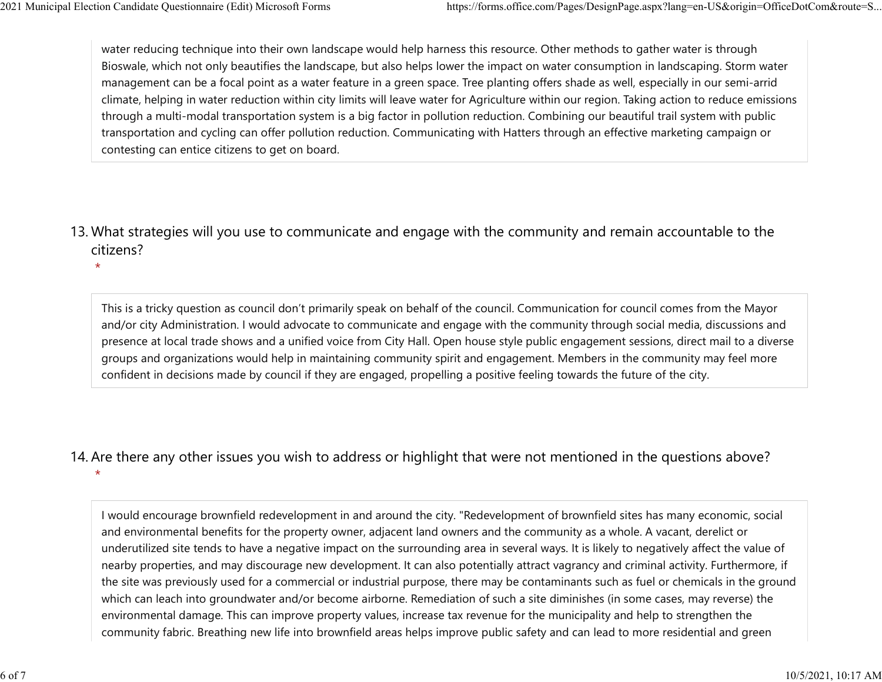$\star$ 

water reducing technique into their own landscape would help harness this resource. Other methods to gather water is through Bioswale, which not only beautifies the landscape, but also helps lower the impact on water consumption in landscaping. Storm water management can be a focal point as a water feature in a green space. Tree planting offers shade as well, especially in our semi-arrid climate, helping in water reduction within city limits will leave water for Agriculture within our region. Taking action to reduce emissions through a multi-modal transportation system is a big factor in pollution reduction. Combining our beautiful trail system with public transportation and cycling can offer pollution reduction. Communicating with Hatters through an effective marketing campaign or contesting can entice citizens to get on board. 2021 Municipal Election Candidate Questionnaire (Edit) Microsoft Forms https://forms.office.com/Pages/DesignPage.aspx?lang=en-US&origin=OfficeDotCom&route=S...<br>water reducing technique into their own landscape would help h

13. What strategies will you use to communicate and engage with the community and remain accountable to the citizens?

This is a tricky question as council don't primarily speak on behalf of the council. Communication for council comes from the Mayor and/or city Administration. I would advocate to communicate and engage with the community through social media, discussions and presence at local trade shows and a unified voice from City Hall. Open house style public engagement sessions, direct mail to a diverse groups and organizations would help in maintaining community spirit and engagement. Members in the community may feel more confident in decisions made by council if they are engaged, propelling a positive feeling towards the future of the city.

## 14. Are there any other issues you wish to address or highlight that were not mentioned in the questions above?

 $\star$ 

I would encourage brownfield redevelopment in and around the city. "Redevelopment of brownfield sites has many economic, social and environmental benefits for the property owner, adjacent land owners and the community as a whole. A vacant, derelict or underutilized site tends to have a negative impact on the surrounding area in several ways. It is likely to negatively affect the value of nearby properties, and may discourage new development. It can also potentially attract vagrancy and criminal activity. Furthermore, if the site was previously used for a commercial or industrial purpose, there may be contaminants such as fuel or chemicals in the ground which can leach into groundwater and/or become airborne. Remediation of such a site diminishes (in some cases, may reverse) the environmental damage. This can improve property values, increase tax revenue for the municipality and help to strengthen the community fabric. Breathing new life into brownfield areas helps improve public safety and can lead to more residential and green